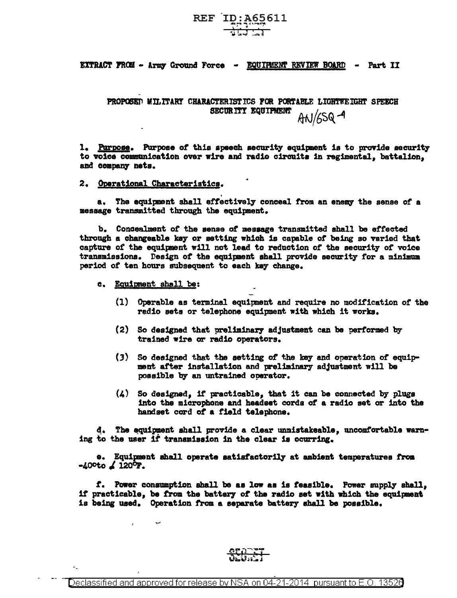# REF ID: A65611

EXTRACT FROM - Army Ground Force - EQUIRENT REVIEW BOARD -Part II

PROPOSED MILITARY CHARACTERISTICS FOR PORTABLE LIGHTWEIGHT SPEECH SECURITY EQUIPMENT AN/65Q-9

1. Purpose. Purpose of this speech security equipment is to provide security to voice communication over wire and radio circuits in regimental, battalion, and company nets.

2. Operational Characteristics.

a. The equipment shall effectively conceal from an enemy the sense of a message transmitted through the equipment.

b. Concealment of the sense of message transmitted shall be effected through a changeable key or setting which is capable of being so varied that capture of the equipment will not lead to reduction of the security of voice transmissions. Design of the equipment shall provide security for a minimum period of ten hours subsequent to each key change.

- c. Equipment shall be:
	- (1) Operable as terminal equipment and require no modification of the radio sets or telephone equipment with which it works.
	- (2) So designed that preliminary adjustment can be performed by trained wire or radio operators.
	- $(3)$  So designed that the setting of the key and operation of equipment after installation and preliminary adjustment will be possible by an untrained operator.
	- $\mathbf{L}$ So designed, if practicable, that it can be connected by plugs into the microphone and headset cords of a radio set or into the handset cord of a field telephone.

d. The equipment shall provide a clear unmistakeable, uncomfortable warning to the user if transmission in the clear is ocurring.

e. Equipment ahall operate satisfactorily at ambient temperatures from  $-40^{\circ}$ to  $\angle 120^{\circ}$ F.

f. Power consumption shall be as low as is feasible. Power supply shall, if practicable, be from the battery of the radio set with which the equipment is being used. Operation from a separate battery shall be possible.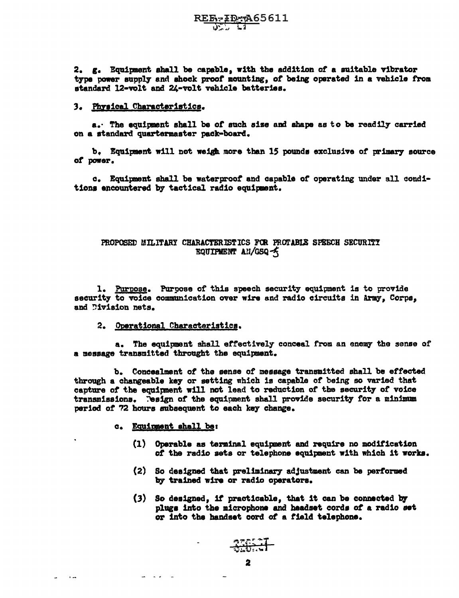2. g. Equipment shall be capable, with the addition of a suitable vibrator type power supply and shock proof mounting, of being operated in a vehicle from standard 12-volt and 24-volt vehicle batteries.

#### 3. Physical Characteristics.

a. The equipment shall be of such size and shape as to be readily carried on a standard quartermaster pack-board.

b. Equipment will not weigh more than 15 pounds exclusive of primary source of power.

c. Equipment shall be waterproof and capable of operating under all conditions encountered by tactical radio equipment.

## PROPOSED MILITARY CHARACTERISTICS FOR PROTABLE SPEECH SECURITY EQUIPMENT AN/GSQ-5

1. Purpose. Purpose of this speech security equipment is to provide security to voice communication over wire and radio circuits in Army. Corps, and Division nets.

## 2. Operational Characteristics.

a. The equipment shall effectively conceal from an enemy the sense of a message transmitted throught the equipment.

b. Concealment of the sense of message transmitted shall be effected through a changeable key or setting which is capable of being so varied that capture of the equipment will not lead to reduction of the security of voice transmissions. Pesign of the equipment shall provide security for a minimum period of 72 hours subsequent to each key change.

#### c. Equipment shall be:

لدار الأمراضية

*College Street* 

- (1) Operable as terminal equipment and require no modification of the radio sets or telephone equipment with which it works.
- (2) So designed that preliminary adjustment can be performed by trained wire or radio operators.
- (3) So designed, if practicable, that it can be connected by plugs into the microphone and headset cords of a radio set or into the handset cord of a field telephone.

**33654**